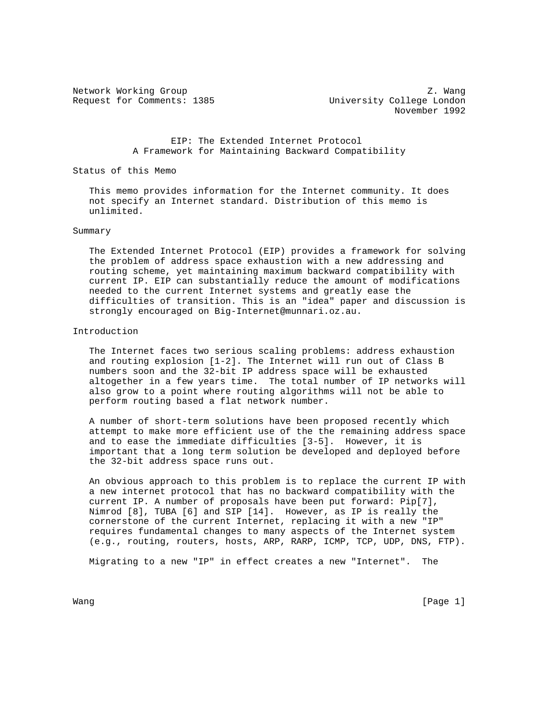Network Working Group Z. Wang Request for Comments: 1385 University College London November 1992

> EIP: The Extended Internet Protocol A Framework for Maintaining Backward Compatibility

Status of this Memo

 This memo provides information for the Internet community. It does not specify an Internet standard. Distribution of this memo is unlimited.

#### Summary

 The Extended Internet Protocol (EIP) provides a framework for solving the problem of address space exhaustion with a new addressing and routing scheme, yet maintaining maximum backward compatibility with current IP. EIP can substantially reduce the amount of modifications needed to the current Internet systems and greatly ease the difficulties of transition. This is an "idea" paper and discussion is strongly encouraged on Big-Internet@munnari.oz.au.

#### Introduction

 The Internet faces two serious scaling problems: address exhaustion and routing explosion [1-2]. The Internet will run out of Class B numbers soon and the 32-bit IP address space will be exhausted altogether in a few years time. The total number of IP networks will also grow to a point where routing algorithms will not be able to perform routing based a flat network number.

 A number of short-term solutions have been proposed recently which attempt to make more efficient use of the the remaining address space and to ease the immediate difficulties [3-5]. However, it is important that a long term solution be developed and deployed before the 32-bit address space runs out.

 An obvious approach to this problem is to replace the current IP with a new internet protocol that has no backward compatibility with the current IP. A number of proposals have been put forward: Pip[7], Nimrod [8], TUBA [6] and SIP [14]. However, as IP is really the cornerstone of the current Internet, replacing it with a new "IP" requires fundamental changes to many aspects of the Internet system (e.g., routing, routers, hosts, ARP, RARP, ICMP, TCP, UDP, DNS, FTP).

Migrating to a new "IP" in effect creates a new "Internet". The

Wang [Page 1] [Page 1] [Page 1] [Page 1] [Page 1] [Page 1] [Page 1] [Page 1] [Page 1] [Page 1] [Page 1] [Page 1] [Page 1] [Page 1] [Page 1] [Page 1] [Page 1] [Page 1] [Page 1] [Page 1] [Page 1] [Page 1] [Page 1] [Page 1] [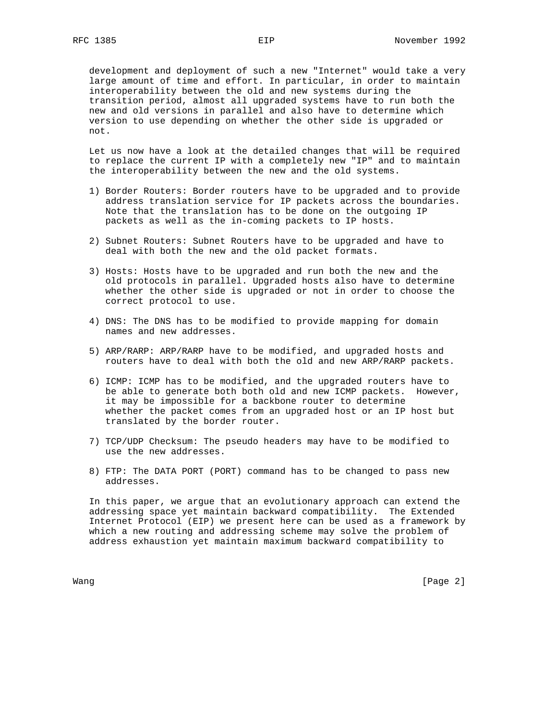development and deployment of such a new "Internet" would take a very large amount of time and effort. In particular, in order to maintain interoperability between the old and new systems during the transition period, almost all upgraded systems have to run both the new and old versions in parallel and also have to determine which version to use depending on whether the other side is upgraded or not.

 Let us now have a look at the detailed changes that will be required to replace the current IP with a completely new "IP" and to maintain the interoperability between the new and the old systems.

- 1) Border Routers: Border routers have to be upgraded and to provide address translation service for IP packets across the boundaries. Note that the translation has to be done on the outgoing IP packets as well as the in-coming packets to IP hosts.
- 2) Subnet Routers: Subnet Routers have to be upgraded and have to deal with both the new and the old packet formats.
- 3) Hosts: Hosts have to be upgraded and run both the new and the old protocols in parallel. Upgraded hosts also have to determine whether the other side is upgraded or not in order to choose the correct protocol to use.
- 4) DNS: The DNS has to be modified to provide mapping for domain names and new addresses.
- 5) ARP/RARP: ARP/RARP have to be modified, and upgraded hosts and routers have to deal with both the old and new ARP/RARP packets.
- 6) ICMP: ICMP has to be modified, and the upgraded routers have to be able to generate both both old and new ICMP packets. However, it may be impossible for a backbone router to determine whether the packet comes from an upgraded host or an IP host but translated by the border router.
- 7) TCP/UDP Checksum: The pseudo headers may have to be modified to use the new addresses.
- 8) FTP: The DATA PORT (PORT) command has to be changed to pass new addresses.

 In this paper, we argue that an evolutionary approach can extend the addressing space yet maintain backward compatibility. The Extended Internet Protocol (EIP) we present here can be used as a framework by which a new routing and addressing scheme may solve the problem of address exhaustion yet maintain maximum backward compatibility to

Wang [Page 2] wang manakalan kalendar kalendar (Page 2) ang pag-alan na kalendar (Page 2) ang pag-alan na kalendar (Page 2) ang pag-alan na kalendar (Page 2) ang pag-alan na kalendar (Page 2) ang pag-alan na kalendar (Page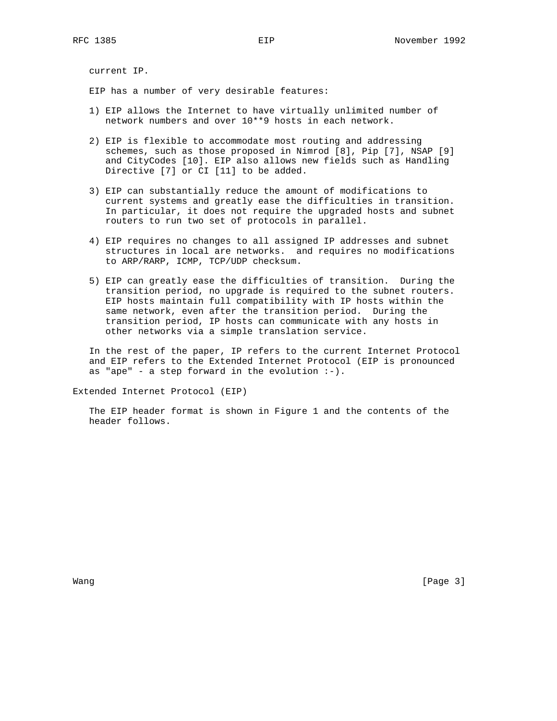current IP.

EIP has a number of very desirable features:

- 1) EIP allows the Internet to have virtually unlimited number of network numbers and over 10\*\*9 hosts in each network.
- 2) EIP is flexible to accommodate most routing and addressing schemes, such as those proposed in Nimrod [8], Pip [7], NSAP [9] and CityCodes [10]. EIP also allows new fields such as Handling Directive [7] or CI [11] to be added.
- 3) EIP can substantially reduce the amount of modifications to current systems and greatly ease the difficulties in transition. In particular, it does not require the upgraded hosts and subnet routers to run two set of protocols in parallel.
- 4) EIP requires no changes to all assigned IP addresses and subnet structures in local are networks. and requires no modifications to ARP/RARP, ICMP, TCP/UDP checksum.
- 5) EIP can greatly ease the difficulties of transition. During the transition period, no upgrade is required to the subnet routers. EIP hosts maintain full compatibility with IP hosts within the same network, even after the transition period. During the transition period, IP hosts can communicate with any hosts in other networks via a simple translation service.

 In the rest of the paper, IP refers to the current Internet Protocol and EIP refers to the Extended Internet Protocol (EIP is pronounced as "ape" - a step forward in the evolution  $:-)$ .

Extended Internet Protocol (EIP)

 The EIP header format is shown in Figure 1 and the contents of the header follows.

Wang [Page 3]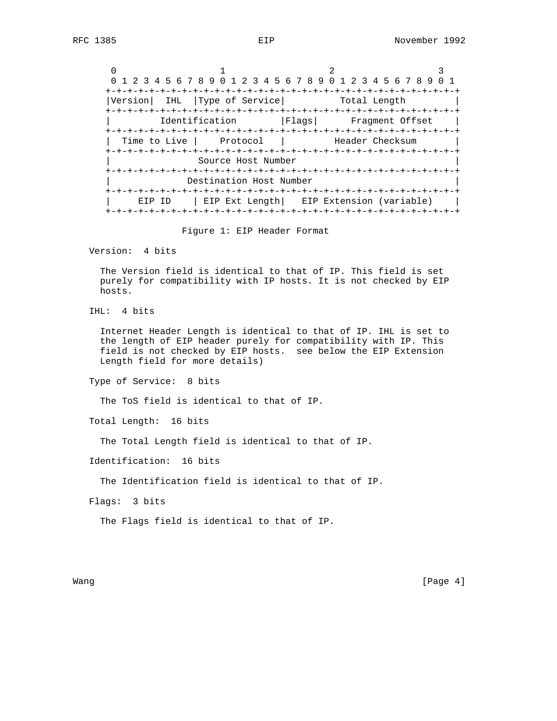|              | 1 2 3 4 5 6 7 8 9 0 1 2 3 4 5 6 7 8 9 0 1 2 3 4 5 6 7 8 9 |                                           |                                                       |  |
|--------------|-----------------------------------------------------------|-------------------------------------------|-------------------------------------------------------|--|
| Version      | Type of Service<br>IHL                                    |                                           | Total Length                                          |  |
|              | Identification                                            |                                           | Flags  Fragment Offset                                |  |
| Time to Live | Protocol<br>+-+-+-+-+-+-+-+-+-+-+-+-+-+-+                 |                                           | Header Checksum<br>+-+-+-+-+-+-+-+-+-+-+-+-+-+-+-+-+- |  |
|              | Source Host Number<br>+-+-+-+-+-+-+-+                     |                                           |                                                       |  |
|              | Destination Host Number                                   |                                           |                                                       |  |
| EIP          | TD                                                        | EIP Ext Length   EIP Extension (variable) |                                                       |  |

Figure 1: EIP Header Format

Version: 4 bits

 The Version field is identical to that of IP. This field is set purely for compatibility with IP hosts. It is not checked by EIP hosts.

IHL: 4 bits

 Internet Header Length is identical to that of IP. IHL is set to the length of EIP header purely for compatibility with IP. This field is not checked by EIP hosts. see below the EIP Extension Length field for more details)

Type of Service: 8 bits

The ToS field is identical to that of IP.

Total Length: 16 bits

The Total Length field is identical to that of IP.

Identification: 16 bits

The Identification field is identical to that of IP.

Flags: 3 bits

The Flags field is identical to that of IP.

Wang [Page 4]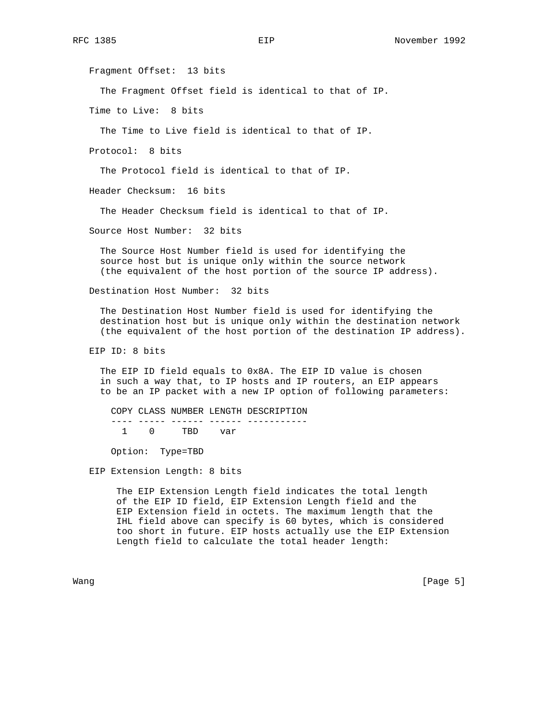Fragment Offset: 13 bits

The Fragment Offset field is identical to that of IP.

Time to Live: 8 bits

The Time to Live field is identical to that of IP.

Protocol: 8 bits

The Protocol field is identical to that of IP.

Header Checksum: 16 bits

The Header Checksum field is identical to that of IP.

Source Host Number: 32 bits

 The Source Host Number field is used for identifying the source host but is unique only within the source network (the equivalent of the host portion of the source IP address).

Destination Host Number: 32 bits

 The Destination Host Number field is used for identifying the destination host but is unique only within the destination network (the equivalent of the host portion of the destination IP address).

EIP ID: 8 bits

 The EIP ID field equals to 0x8A. The EIP ID value is chosen in such a way that, to IP hosts and IP routers, an EIP appears to be an IP packet with a new IP option of following parameters:

 COPY CLASS NUMBER LENGTH DESCRIPTION ---- ----- ------ ------ ----------<br>1 0 TBD var TBD var

Option: Type=TBD

EIP Extension Length: 8 bits

 The EIP Extension Length field indicates the total length of the EIP ID field, EIP Extension Length field and the EIP Extension field in octets. The maximum length that the IHL field above can specify is 60 bytes, which is considered too short in future. EIP hosts actually use the EIP Extension Length field to calculate the total header length:

Wang [Page 5] [Page 5] [Page 5] [Page 5] [Page 5] [Page 5] [Page 5] [Page 5] [Page 5] [Page 5] [Page 5] [Page 5] [Page 5] [Page 5] [Page 5] [Page 5] [Page 5] [Page 5] [Page 5] [Page 5] [Page 5] [Page 5] [Page 5] [Page 5] [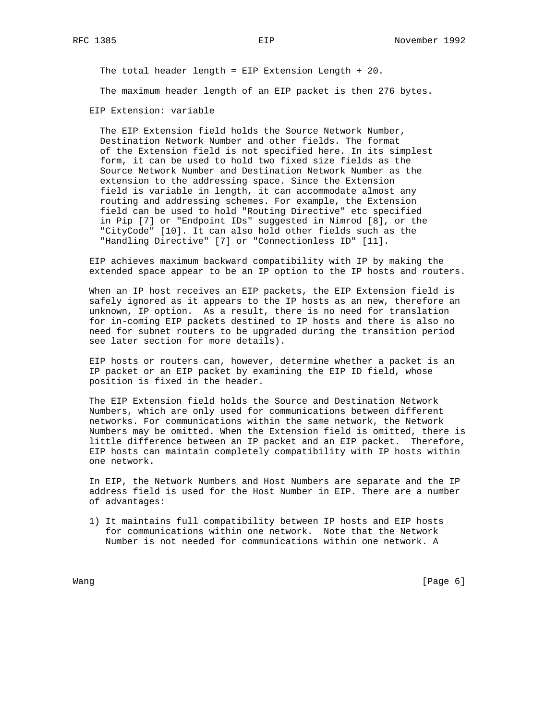The total header length = EIP Extension Length + 20.

The maximum header length of an EIP packet is then 276 bytes.

EIP Extension: variable

 The EIP Extension field holds the Source Network Number, Destination Network Number and other fields. The format of the Extension field is not specified here. In its simplest form, it can be used to hold two fixed size fields as the Source Network Number and Destination Network Number as the extension to the addressing space. Since the Extension field is variable in length, it can accommodate almost any routing and addressing schemes. For example, the Extension field can be used to hold "Routing Directive" etc specified in Pip [7] or "Endpoint IDs" suggested in Nimrod [8], or the "CityCode" [10]. It can also hold other fields such as the "Handling Directive" [7] or "Connectionless ID" [11].

 EIP achieves maximum backward compatibility with IP by making the extended space appear to be an IP option to the IP hosts and routers.

 When an IP host receives an EIP packets, the EIP Extension field is safely ignored as it appears to the IP hosts as an new, therefore an unknown, IP option. As a result, there is no need for translation for in-coming EIP packets destined to IP hosts and there is also no need for subnet routers to be upgraded during the transition period see later section for more details).

 EIP hosts or routers can, however, determine whether a packet is an IP packet or an EIP packet by examining the EIP ID field, whose position is fixed in the header.

 The EIP Extension field holds the Source and Destination Network Numbers, which are only used for communications between different networks. For communications within the same network, the Network Numbers may be omitted. When the Extension field is omitted, there is little difference between an IP packet and an EIP packet. Therefore, EIP hosts can maintain completely compatibility with IP hosts within one network.

 In EIP, the Network Numbers and Host Numbers are separate and the IP address field is used for the Host Number in EIP. There are a number of advantages:

 1) It maintains full compatibility between IP hosts and EIP hosts for communications within one network. Note that the Network Number is not needed for communications within one network. A

Wang [Page 6] [Page 6] [Page 6] [Page 6] [Page 6] [Page 6] [Page 6] [Page 6] [Page 6] [Page 6] [Page 6] [Page 6] [Page 6] [Page 6] [Page 6] [Page 6] [Page 6] [Page 6] [Page 6] [Page 6] [Page 6] [Page 6] [Page 6] [Page 6] [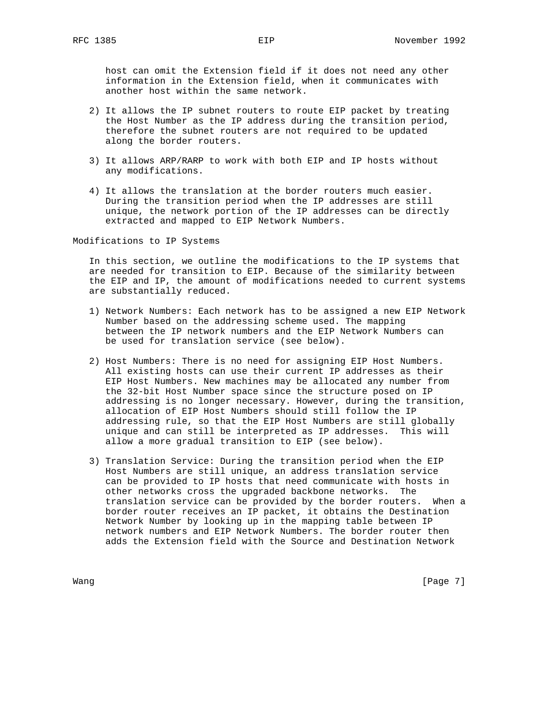host can omit the Extension field if it does not need any other information in the Extension field, when it communicates with another host within the same network.

- 2) It allows the IP subnet routers to route EIP packet by treating the Host Number as the IP address during the transition period, therefore the subnet routers are not required to be updated along the border routers.
- 3) It allows ARP/RARP to work with both EIP and IP hosts without any modifications.
- 4) It allows the translation at the border routers much easier. During the transition period when the IP addresses are still unique, the network portion of the IP addresses can be directly extracted and mapped to EIP Network Numbers.

Modifications to IP Systems

 In this section, we outline the modifications to the IP systems that are needed for transition to EIP. Because of the similarity between the EIP and IP, the amount of modifications needed to current systems are substantially reduced.

- 1) Network Numbers: Each network has to be assigned a new EIP Network Number based on the addressing scheme used. The mapping between the IP network numbers and the EIP Network Numbers can be used for translation service (see below).
- 2) Host Numbers: There is no need for assigning EIP Host Numbers. All existing hosts can use their current IP addresses as their EIP Host Numbers. New machines may be allocated any number from the 32-bit Host Number space since the structure posed on IP addressing is no longer necessary. However, during the transition, allocation of EIP Host Numbers should still follow the IP addressing rule, so that the EIP Host Numbers are still globally unique and can still be interpreted as IP addresses. This will allow a more gradual transition to EIP (see below).
- 3) Translation Service: During the transition period when the EIP Host Numbers are still unique, an address translation service can be provided to IP hosts that need communicate with hosts in other networks cross the upgraded backbone networks. The translation service can be provided by the border routers. When a border router receives an IP packet, it obtains the Destination Network Number by looking up in the mapping table between IP network numbers and EIP Network Numbers. The border router then adds the Extension field with the Source and Destination Network

Wang [Page 7]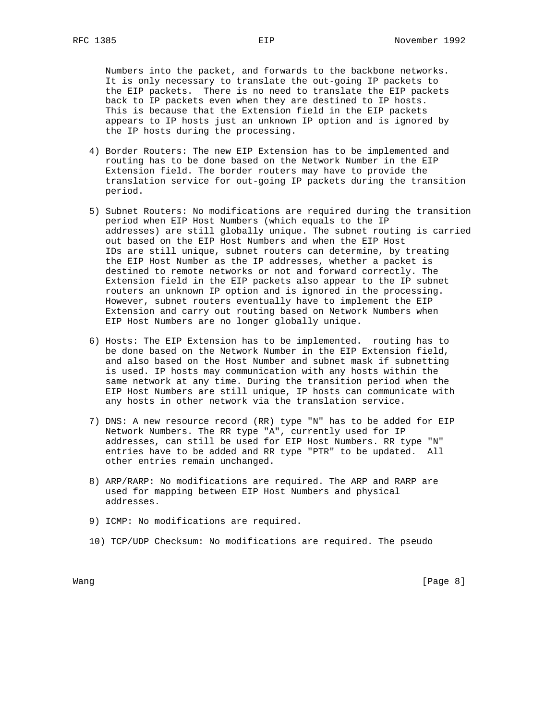Numbers into the packet, and forwards to the backbone networks. It is only necessary to translate the out-going IP packets to the EIP packets. There is no need to translate the EIP packets back to IP packets even when they are destined to IP hosts. This is because that the Extension field in the EIP packets appears to IP hosts just an unknown IP option and is ignored by the IP hosts during the processing.

- 4) Border Routers: The new EIP Extension has to be implemented and routing has to be done based on the Network Number in the EIP Extension field. The border routers may have to provide the translation service for out-going IP packets during the transition period.
- 5) Subnet Routers: No modifications are required during the transition period when EIP Host Numbers (which equals to the IP addresses) are still globally unique. The subnet routing is carried out based on the EIP Host Numbers and when the EIP Host IDs are still unique, subnet routers can determine, by treating the EIP Host Number as the IP addresses, whether a packet is destined to remote networks or not and forward correctly. The Extension field in the EIP packets also appear to the IP subnet routers an unknown IP option and is ignored in the processing. However, subnet routers eventually have to implement the EIP Extension and carry out routing based on Network Numbers when EIP Host Numbers are no longer globally unique.
- 6) Hosts: The EIP Extension has to be implemented. routing has to be done based on the Network Number in the EIP Extension field, and also based on the Host Number and subnet mask if subnetting is used. IP hosts may communication with any hosts within the same network at any time. During the transition period when the EIP Host Numbers are still unique, IP hosts can communicate with any hosts in other network via the translation service.
- 7) DNS: A new resource record (RR) type "N" has to be added for EIP Network Numbers. The RR type "A", currently used for IP addresses, can still be used for EIP Host Numbers. RR type "N" entries have to be added and RR type "PTR" to be updated. All other entries remain unchanged.
- 8) ARP/RARP: No modifications are required. The ARP and RARP are used for mapping between EIP Host Numbers and physical addresses.
- 9) ICMP: No modifications are required.
- 10) TCP/UDP Checksum: No modifications are required. The pseudo

Wang [Page 8] [Page 8] [Page 8] [Page 8] [Page 8] [Page 8] [Page 8] [Page 8] [Page 8] [Page 8] [Page 8] [Page 8] [Page 8] [Page 8] [Page 8] [Page 8] [Page 8] [Page 8] [Page 8] [Page 8] [Page 8] [Page 8] [Page 8] [Page 8] [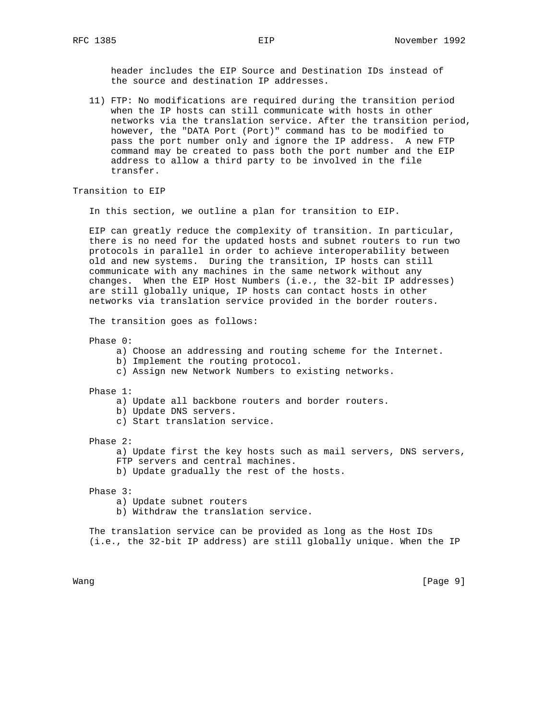header includes the EIP Source and Destination IDs instead of the source and destination IP addresses.

 11) FTP: No modifications are required during the transition period when the IP hosts can still communicate with hosts in other networks via the translation service. After the transition period, however, the "DATA Port (Port)" command has to be modified to pass the port number only and ignore the IP address. A new FTP command may be created to pass both the port number and the EIP address to allow a third party to be involved in the file transfer.

Transition to EIP

In this section, we outline a plan for transition to EIP.

 EIP can greatly reduce the complexity of transition. In particular, there is no need for the updated hosts and subnet routers to run two protocols in parallel in order to achieve interoperability between old and new systems. During the transition, IP hosts can still communicate with any machines in the same network without any changes. When the EIP Host Numbers (i.e., the 32-bit IP addresses) are still globally unique, IP hosts can contact hosts in other networks via translation service provided in the border routers.

The transition goes as follows:

Phase 0:

- a) Choose an addressing and routing scheme for the Internet.
- b) Implement the routing protocol.
- c) Assign new Network Numbers to existing networks.

Phase 1:

- a) Update all backbone routers and border routers.
- b) Update DNS servers.
- c) Start translation service.

Phase 2:

a) Update first the key hosts such as mail servers, DNS servers,

 FTP servers and central machines. b) Update gradually the rest of the hosts.

Phase 3:

- a) Update subnet routers
- b) Withdraw the translation service.

 The translation service can be provided as long as the Host IDs (i.e., the 32-bit IP address) are still globally unique. When the IP

Wang [Page 9] [Page 9] [Page 9] [Page 9] [Page 9] [Page 9] [Page 9] [Page 9] [Page 9] [Page 9] [Page 9] [Page 9] [Page 9] [Page 9] [Page 9] [Page 9] [Page 9] [Page 9] [Page 9] [Page 9] [Page 9] [Page 9] [Page 9] [Page 9] [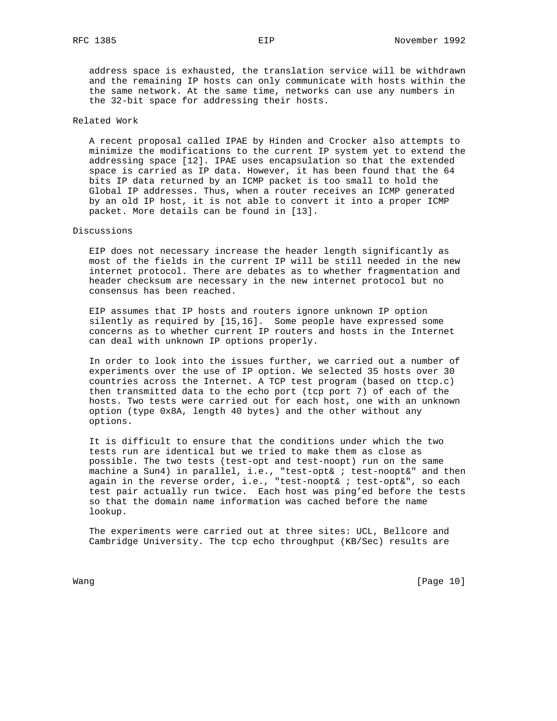address space is exhausted, the translation service will be withdrawn and the remaining IP hosts can only communicate with hosts within the the same network. At the same time, networks can use any numbers in the 32-bit space for addressing their hosts.

## Related Work

 A recent proposal called IPAE by Hinden and Crocker also attempts to minimize the modifications to the current IP system yet to extend the addressing space [12]. IPAE uses encapsulation so that the extended space is carried as IP data. However, it has been found that the 64 bits IP data returned by an ICMP packet is too small to hold the Global IP addresses. Thus, when a router receives an ICMP generated by an old IP host, it is not able to convert it into a proper ICMP packet. More details can be found in [13].

## Discussions

 EIP does not necessary increase the header length significantly as most of the fields in the current IP will be still needed in the new internet protocol. There are debates as to whether fragmentation and header checksum are necessary in the new internet protocol but no consensus has been reached.

 EIP assumes that IP hosts and routers ignore unknown IP option silently as required by [15,16]. Some people have expressed some concerns as to whether current IP routers and hosts in the Internet can deal with unknown IP options properly.

 In order to look into the issues further, we carried out a number of experiments over the use of IP option. We selected 35 hosts over 30 countries across the Internet. A TCP test program (based on ttcp.c) then transmitted data to the echo port (tcp port 7) of each of the hosts. Two tests were carried out for each host, one with an unknown option (type 0x8A, length 40 bytes) and the other without any options.

 It is difficult to ensure that the conditions under which the two tests run are identical but we tried to make them as close as possible. The two tests (test-opt and test-noopt) run on the same machine a Sun4) in parallel, i.e., "test-opt& ; test-noopt&" and then again in the reverse order, i.e., "test-noopt& ; test-opt&", so each test pair actually run twice. Each host was ping'ed before the tests so that the domain name information was cached before the name lookup.

 The experiments were carried out at three sites: UCL, Bellcore and Cambridge University. The tcp echo throughput (KB/Sec) results are

Wang [Page 10]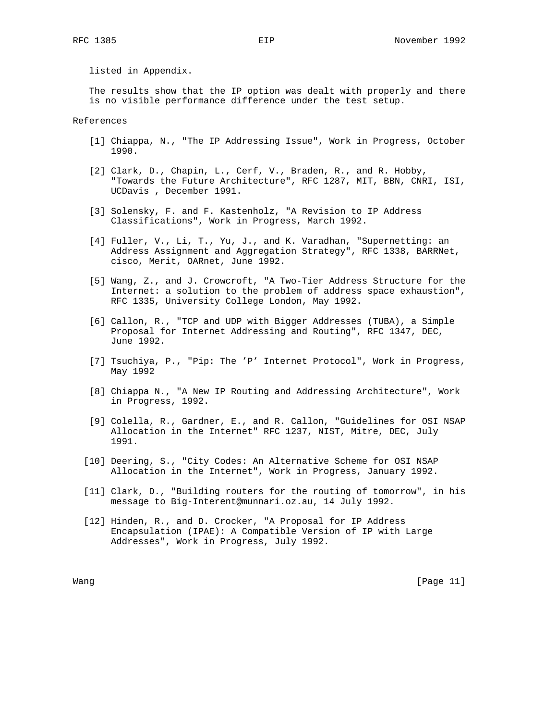listed in Appendix.

 The results show that the IP option was dealt with properly and there is no visible performance difference under the test setup.

References

- [1] Chiappa, N., "The IP Addressing Issue", Work in Progress, October 1990.
- [2] Clark, D., Chapin, L., Cerf, V., Braden, R., and R. Hobby, "Towards the Future Architecture", RFC 1287, MIT, BBN, CNRI, ISI, UCDavis , December 1991.
- [3] Solensky, F. and F. Kastenholz, "A Revision to IP Address Classifications", Work in Progress, March 1992.
- [4] Fuller, V., Li, T., Yu, J., and K. Varadhan, "Supernetting: an Address Assignment and Aggregation Strategy", RFC 1338, BARRNet, cisco, Merit, OARnet, June 1992.
- [5] Wang, Z., and J. Crowcroft, "A Two-Tier Address Structure for the Internet: a solution to the problem of address space exhaustion", RFC 1335, University College London, May 1992.
- [6] Callon, R., "TCP and UDP with Bigger Addresses (TUBA), a Simple Proposal for Internet Addressing and Routing", RFC 1347, DEC, June 1992.
- [7] Tsuchiya, P., "Pip: The 'P' Internet Protocol", Work in Progress, May 1992
- [8] Chiappa N., "A New IP Routing and Addressing Architecture", Work in Progress, 1992.
- [9] Colella, R., Gardner, E., and R. Callon, "Guidelines for OSI NSAP Allocation in the Internet" RFC 1237, NIST, Mitre, DEC, July 1991.
- [10] Deering, S., "City Codes: An Alternative Scheme for OSI NSAP Allocation in the Internet", Work in Progress, January 1992.
- [11] Clark, D., "Building routers for the routing of tomorrow", in his message to Big-Interent@munnari.oz.au, 14 July 1992.
- [12] Hinden, R., and D. Crocker, "A Proposal for IP Address Encapsulation (IPAE): A Compatible Version of IP with Large Addresses", Work in Progress, July 1992.

Wang [Page 11]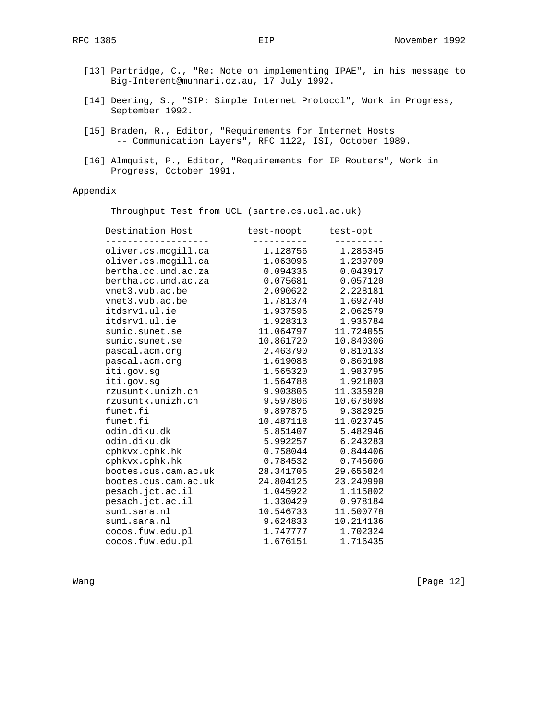- [13] Partridge, C., "Re: Note on implementing IPAE", in his message to Big-Interent@munnari.oz.au, 17 July 1992.
- [14] Deering, S., "SIP: Simple Internet Protocol", Work in Progress, September 1992.
- [15] Braden, R., Editor, "Requirements for Internet Hosts -- Communication Layers", RFC 1122, ISI, October 1989.
- [16] Almquist, P., Editor, "Requirements for IP Routers", Work in Progress, October 1991.

# Appendix

Throughput Test from UCL (sartre.cs.ucl.ac.uk)

| Destination Host     | test-noopt test-opt |                     |
|----------------------|---------------------|---------------------|
| oliver.cs.mcgill.ca  | 1.128756            | 1.285345            |
| oliver.cs.mcqill.ca  | 1.063096            | 1.239709            |
| bertha.cc.und.ac.za  | 0.094336            | 0.043917            |
| bertha.cc.und.ac.za  | 0.075681            | 0.057120            |
| vnet3.vub.ac.be      |                     | 2.090622 2.228181   |
| vnet3.vub.ac.be      | 1.781374            | 1.692740            |
| itdsrv1.ul.ie        | 1.937596            | 2.062579            |
| itdsrv1.ul.ie        |                     | 1.928313 1.936784   |
| sunic.sunet.se       | 11.064797           | 11.724055           |
| sunic.sunet.se       | 10.861720           | 10.840306           |
| pascal.acm.org       |                     | 2.463790 0.810133   |
| pascal.acm.org       | 1.619088            | 0.860198            |
| iti.gov.sg           | 1.565320            | 1.983795            |
| iti.gov.sg           | 1.564788            | 1.921803            |
| rzusuntk.unizh.ch    | 9.903805            | 11.335920           |
| rzusuntk.unizh.ch    | 9.597806            | 10.678098           |
| funet.fi             | 9.897876 9.382925   |                     |
| funet.fi             |                     | 10.487118 11.023745 |
| odin.diku.dk         | 5.851407            | 5.482946            |
| odin.diku.dk         | 5.992257            | 6.243283            |
| cphkvx.cphk.hk       | 0.758044            | 0.844406            |
| cphkvx.cphk.hk       | 0.784532            | 0.745606            |
| bootes.cus.cam.ac.uk | 28.341705 29.655824 |                     |
| bootes.cus.cam.ac.uk | 24.804125           | 23.240990           |
| pesach.jct.ac.il     | 1.045922            | 1.115802            |
| pesach.jct.ac.il     | 1.330429            | 0.978184            |
| sunl.sara.nl         | 10.546733           | 11.500778           |
| sun1.sara.nl         | 9.624833            | 10.214136           |
| cocos.fuw.edu.pl     |                     | 1.747777 1.702324   |
| cocos.fuw.edu.pl     | 1.676151            | 1.716435            |

Wang [Page 12]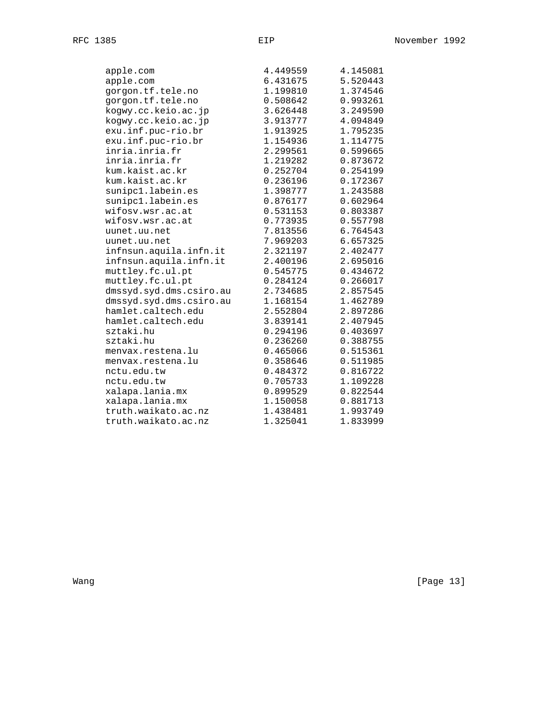| apple.com               | 4.449559 | 4.145081 |
|-------------------------|----------|----------|
| apple.com               | 6.431675 | 5.520443 |
| gorgon.tf.tele.no       | 1.199810 | 1.374546 |
| gorgon.tf.tele.no       | 0.508642 | 0.993261 |
| kogwy.cc.keio.ac.jp     | 3.626448 | 3.249590 |
| kogwy.cc.keio.ac.jp     | 3.913777 | 4.094849 |
| exu.inf.puc-rio.br      | 1.913925 | 1.795235 |
| exu.inf.puc-rio.br      | 1.154936 | 1.114775 |
| inria.inria.fr          | 2.299561 | 0.599665 |
| inria.inria.fr          | 1.219282 | 0.873672 |
| kum.kaist.ac.kr         | 0.252704 | 0.254199 |
| kum.kaist.ac.kr         | 0.236196 | 0.172367 |
| sunipc1.labein.es       | 1.398777 | 1.243588 |
| sunipc1.labein.es       | 0.876177 | 0.602964 |
| wifosy.wsr.ac.at        | 0.531153 | 0.803387 |
| wifosv.wsr.ac.at        | 0.773935 | 0.557798 |
| uunet.uu.net            | 7.813556 | 6.764543 |
| uunet.uu.net            | 7.969203 | 6.657325 |
| infnsun.aquila.infn.it  | 2.321197 | 2.402477 |
| infnsun.aquila.infn.it  | 2.400196 | 2.695016 |
| muttley.fc.ul.pt        | 0.545775 | 0.434672 |
| muttley.fc.ul.pt        | 0.284124 | 0.266017 |
| dmssyd.syd.dms.csiro.au | 2.734685 | 2.857545 |
| dmssyd.syd.dms.csiro.au | 1.168154 | 1.462789 |
| hamlet.caltech.edu      | 2.552804 | 2.897286 |
| hamlet.caltech.edu      | 3.839141 | 2.407945 |
| sztaki.hu               | 0.294196 | 0.403697 |
| sztaki.hu               | 0.236260 | 0.388755 |
| menvax.restena.lu       | 0.465066 | 0.515361 |
| menvax.restena.lu       | 0.358646 | 0.511985 |
| nctu.edu.tw             | 0.484372 | 0.816722 |
| nctu.edu.tw             | 0.705733 | 1.109228 |
| xalapa.lania.mx         | 0.899529 | 0.822544 |
| xalapa.lania.mx         | 1.150058 | 0.881713 |
| truth.waikato.ac.nz     | 1.438481 | 1.993749 |
| truth.waikato.ac.nz     | 1.325041 | 1.833999 |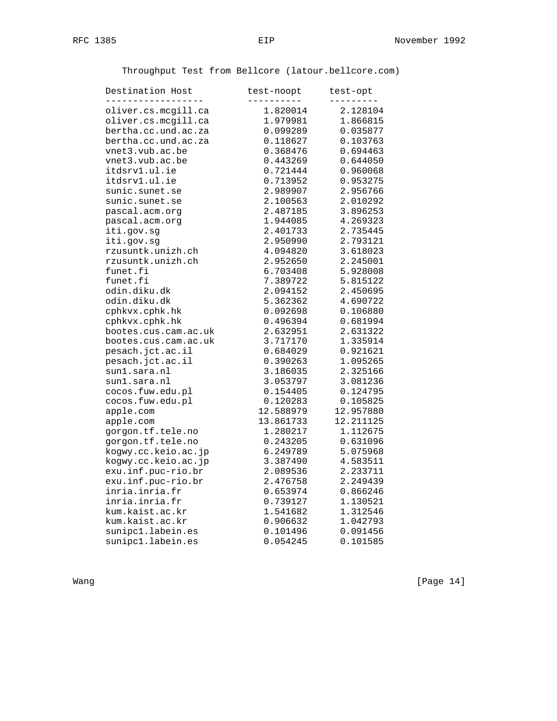Throughput Test from Bellcore (latour.bellcore.com)

| Destination Host     | test-noopt | test-opt  |
|----------------------|------------|-----------|
| oliver.cs.mcgill.ca  | 1.820014   | 2.128104  |
| oliver.cs.mcgill.ca  | 1.979981   | 1.866815  |
| bertha.cc.und.ac.za  | 0.099289   | 0.035877  |
| bertha.cc.und.ac.za  | 0.118627   | 0.103763  |
| vnet3.vub.ac.be      | 0.368476   | 0.694463  |
| vnet3.vub.ac.be      | 0.443269   | 0.644050  |
| itdsrv1.ul.ie        | 0.721444   | 0.960068  |
| itdsrv1.ul.ie        | 0.713952   | 0.953275  |
| sunic.sunet.se       | 2.989907   | 2.956766  |
| sunic.sunet.se       | 2.100563   | 2.010292  |
| pascal.acm.org       | 2.487185   | 3.896253  |
| pascal.acm.org       | 1.944085   | 4.269323  |
| iti.gov.sg           | 2.401733   | 2.735445  |
| iti.gov.sg           | 2.950990   | 2.793121  |
| rzusuntk.unizh.ch    | 4.094820   | 3.618023  |
| rzusuntk.unizh.ch    | 2.952650   | 2.245001  |
| funet.fi             | 6.703408   | 5.928008  |
| funet.fi             | 7.389722   | 5.815122  |
| odin.diku.dk         | 2.094152   | 2.450695  |
| odin.diku.dk         | 5.362362   | 4.690722  |
| cphkvx.cphk.hk       | 0.092698   | 0.106880  |
| cphkvx.cphk.hk       | 0.496394   | 0.681994  |
| bootes.cus.cam.ac.uk | 2.632951   | 2.631322  |
| bootes.cus.cam.ac.uk | 3.717170   | 1.335914  |
| pesach.jct.ac.il     | 0.684029   | 0.921621  |
| pesach.jct.ac.il     | 0.390263   | 1.095265  |
| sun1.sara.nl         | 3.186035   | 2.325166  |
| sun1.sara.nl         | 3.053797   | 3.081236  |
| cocos.fuw.edu.pl     | 0.154405   | 0.124795  |
| cocos.fuw.edu.pl     | 0.120283   | 0.105825  |
| apple.com            | 12.588979  | 12.957880 |
| apple.com            | 13.861733  | 12.211125 |
| gorgon.tf.tele.no    |            |           |
|                      | 1.280217   | 1.112675  |
| gorgon.tf.tele.no    | 0.243205   | 0.631096  |
| kogwy.cc.keio.ac.jp  | 6.249789   | 5.075968  |
| kogwy.cc.keio.ac.jp  | 3.387490   | 4.583511  |
| exu.inf.puc-rio.br   | 2.089536   | 2.233711  |
| exu.inf.puc-rio.br   | 2.476758   | 2.249439  |
| inria.inria.fr       | 0.653974   | 0.866246  |
| inria.inria.fr       | 0.739127   | 1.130521  |
| kum.kaist.ac.kr      | 1.541682   | 1.312546  |
| kum.kaist.ac.kr      | 0.906632   | 1.042793  |
| sunipc1.labein.es    | 0.101496   | 0.091456  |
| sunipc1.labein.es    | 0.054245   | 0.101585  |

Wang [Page 14]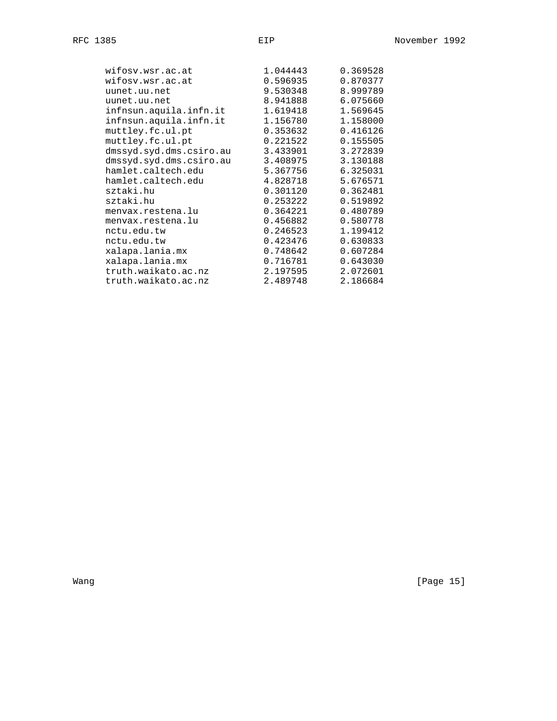| wifosv.wsr.ac.at        | 1.044443 | 0.369528 |
|-------------------------|----------|----------|
| wifosv.wsr.ac.at        | 0.596935 | 0.870377 |
| uunet.uu.net            | 9.530348 | 8.999789 |
| uunet.uu.net            | 8.941888 | 6.075660 |
| infnsun.aquila.infn.it  | 1.619418 | 1.569645 |
| infnsun.aquila.infn.it  | 1.156780 | 1.158000 |
| muttley.fc.ul.pt        | 0.353632 | 0.416126 |
| muttley.fc.ul.pt        | 0.221522 | 0.155505 |
| dmssyd.syd.dms.csiro.au | 3.433901 | 3.272839 |
| dmssyd.syd.dms.csiro.au | 3.408975 | 3.130188 |
| hamlet.caltech.edu      | 5.367756 | 6.325031 |
| hamlet.caltech.edu      | 4.828718 | 5.676571 |
| sztaki.hu               | 0.301120 | 0.362481 |
| sztaki.hu               | 0.253222 | 0.519892 |
| menvax.restena.lu       | 0.364221 | 0.480789 |
| menvax.restena.lu       | 0.456882 | 0.580778 |
| nctu.edu.tw             | 0.246523 | 1.199412 |
| nctu.edu.tw             | 0.423476 | 0.630833 |
| xalapa.lania.mx         | 0.748642 | 0.607284 |
| xalapa.lania.mx         | 0.716781 | 0.643030 |
| truth.waikato.ac.nz     | 2.197595 | 2.072601 |
| truth.waikato.ac.nz     | 2.489748 | 2.186684 |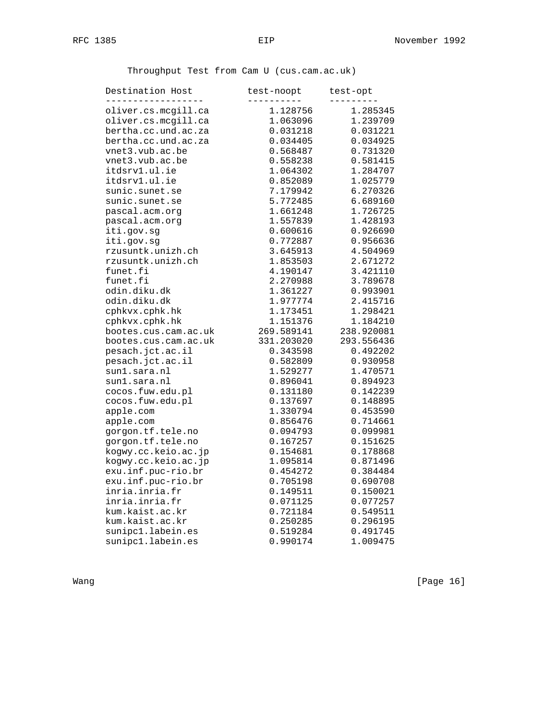Throughput Test from Cam U (cus.cam.ac.uk)

| Destination Host     | test-noopt<br>---------- | test-opt      |
|----------------------|--------------------------|---------------|
| oliver.cs.mcqill.ca  | 1.128756                 | .<br>1.285345 |
| oliver.cs.mcgill.ca  | 1.063096                 | 1.239709      |
| bertha.cc.und.ac.za  | 0.031218                 | 0.031221      |
| bertha.cc.und.ac.za  | 0.034405                 | 0.034925      |
| vnet3.vub.ac.be      | 0.568487                 | 0.731320      |
| vnet3.vub.ac.be      | 0.558238                 | 0.581415      |
| itdsrv1.ul.ie        | 1.064302                 | 1.284707      |
| itdsrv1.ul.ie        | 0.852089                 | 1.025779      |
| sunic.sunet.se       | 7.179942                 | 6.270326      |
| sunic.sunet.se       | 5.772485                 | 6.689160      |
| pascal.acm.org       | 1.661248                 | 1.726725      |
| pascal.acm.org       | 1.557839                 | 1.428193      |
| iti.gov.sg           | 0.600616                 | 0.926690      |
| iti.gov.sg           | 0.772887                 | 0.956636      |
| rzusuntk.unizh.ch    | 3.645913                 | 4.504969      |
| rzusuntk.unizh.ch    | 1.853503                 | 2.671272      |
| funet.fi             | 4.190147                 | 3.421110      |
| funet.fi             | 2.270988                 | 3.789678      |
| odin.diku.dk         | 1.361227                 | 0.993901      |
| odin.diku.dk         | 1.977774                 | 2.415716      |
| cphkvx.cphk.hk       | 1.173451                 | 1.298421      |
| cphkvx.cphk.hk       | 1.151376                 | 1.184210      |
| bootes.cus.cam.ac.uk | 269.589141               | 238.920081    |
| bootes.cus.cam.ac.uk | 331.203020               | 293.556436    |
| pesach.jct.ac.il     | 0.343598                 | 0.492202      |
| pesach.jct.ac.il     | 0.582809                 | 0.930958      |
| sun1.sara.nl         | 1.529277                 | 1.470571      |
| sunl.sara.nl         | 0.896041                 | 0.894923      |
| cocos.fuw.edu.pl     | 0.131180                 | 0.142239      |
| cocos.fuw.edu.pl     | 0.137697                 | 0.148895      |
| apple.com            | 1.330794                 | 0.453590      |
| apple.com            | 0.856476                 | 0.714661      |
| gorgon.tf.tele.no    | 0.094793                 | 0.099981      |
| gorgon.tf.tele.no    | 0.167257                 | 0.151625      |
| kogwy.cc.keio.ac.jp  | 0.154681                 | 0.178868      |
| kogwy.cc.keio.ac.jp  | 1.095814                 | 0.871496      |
| exu.inf.puc-rio.br   | 0.454272                 | 0.384484      |
| exu.inf.puc-rio.br   | 0.705198                 | 0.690708      |
| inria.inria.fr       | 0.149511                 | 0.150021      |
| inria.inria.fr       | 0.071125                 | 0.077257      |
| kum.kaist.ac.kr      | 0.721184                 | 0.549511      |
| kum.kaist.ac.kr      | 0.250285                 | 0.296195      |
| sunipc1.labein.es    | 0.519284                 | 0.491745      |
| sunipc1.labein.es    | 0.990174                 | 1.009475      |

Wang [Page 16]